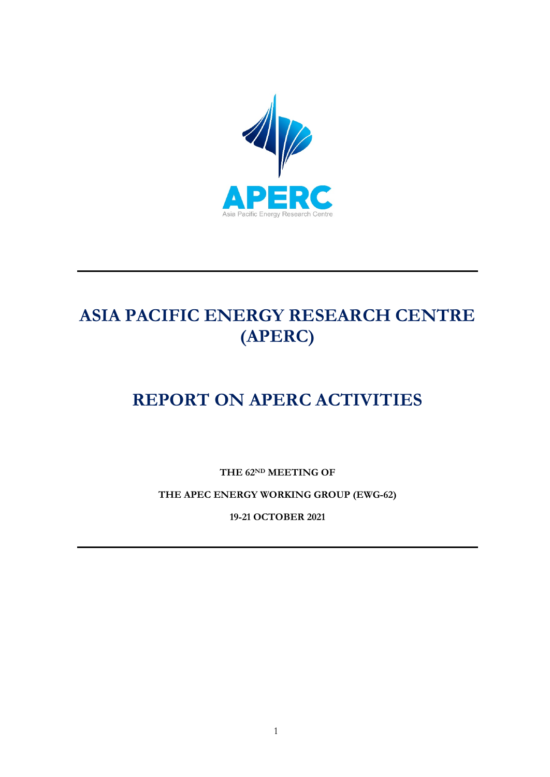

# **ASIA PACIFIC ENERGY RESEARCH CENTRE (APERC)**

# **REPORT ON APERC ACTIVITIES**

**THE 62ND MEETING OF**

**THE APEC ENERGY WORKING GROUP (EWG-62)**

**19-21 OCTOBER 2021**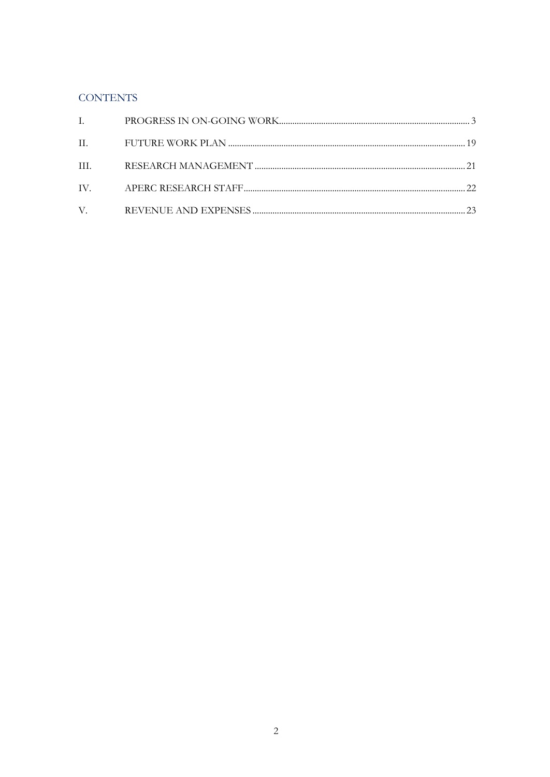# **CONTENTS**

| $\mathbf{I}$ . |  |
|----------------|--|
|                |  |
| III.           |  |
|                |  |
|                |  |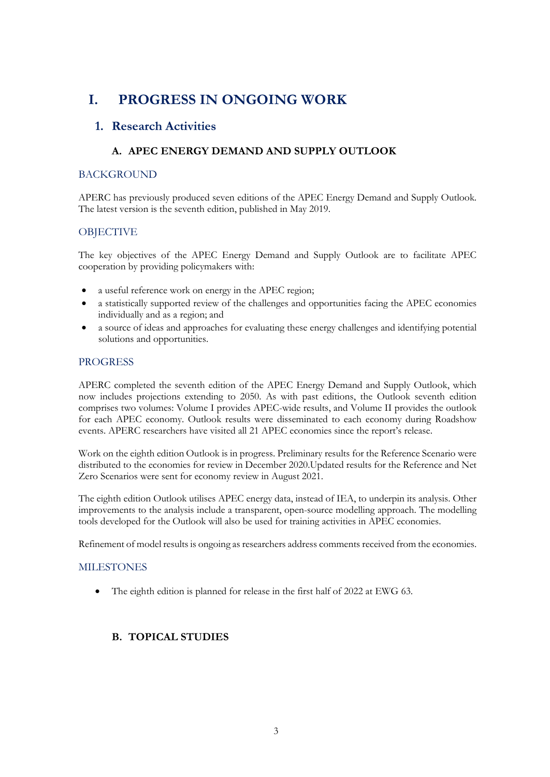# **I. PROGRESS IN ONGOING WORK**

# **1. Research Activities**

### **A. APEC ENERGY DEMAND AND SUPPLY OUTLOOK**

#### **BACKGROUND**

APERC has previously produced seven editions of the APEC Energy Demand and Supply Outlook. The latest version is the seventh edition, published in May 2019.

#### **OBJECTIVE**

The key objectives of the APEC Energy Demand and Supply Outlook are to facilitate APEC cooperation by providing policymakers with:

- a useful reference work on energy in the APEC region;
- a statistically supported review of the challenges and opportunities facing the APEC economies individually and as a region; and
- a source of ideas and approaches for evaluating these energy challenges and identifying potential solutions and opportunities.

#### **PROGRESS**

APERC completed the seventh edition of the APEC Energy Demand and Supply Outlook, which now includes projections extending to 2050. As with past editions, the Outlook seventh edition comprises two volumes: Volume I provides APEC-wide results, and Volume II provides the outlook for each APEC economy. Outlook results were disseminated to each economy during Roadshow events. APERC researchers have visited all 21 APEC economies since the report's release.

Work on the eighth edition Outlook is in progress. Preliminary results for the Reference Scenario were distributed to the economies for review in December 2020.Updated results for the Reference and Net Zero Scenarios were sent for economy review in August 2021.

The eighth edition Outlook utilises APEC energy data, instead of IEA, to underpin its analysis. Other improvements to the analysis include a transparent, open-source modelling approach. The modelling tools developed for the Outlook will also be used for training activities in APEC economies.

Refinement of model results is ongoing as researchers address comments received from the economies.

#### MILESTONES

• The eighth edition is planned for release in the first half of 2022 at EWG 63.

### **B. TOPICAL STUDIES**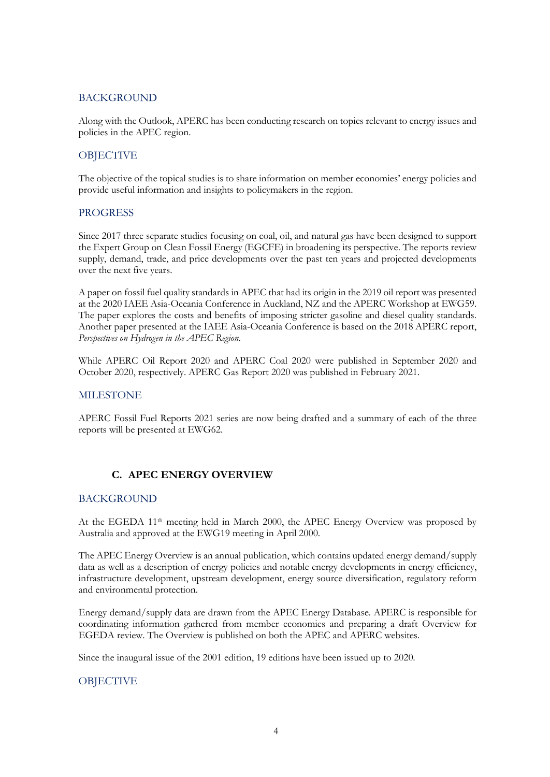#### **BACKGROUND**

Along with the Outlook, APERC has been conducting research on topics relevant to energy issues and policies in the APEC region.

#### **OBJECTIVE**

The objective of the topical studies is to share information on member economies' energy policies and provide useful information and insights to policymakers in the region.

#### PROGRESS

Since 2017 three separate studies focusing on coal, oil, and natural gas have been designed to support the Expert Group on Clean Fossil Energy (EGCFE) in broadening its perspective. The reports review supply, demand, trade, and price developments over the past ten years and projected developments over the next five years.

A paper on fossil fuel quality standards in APEC that had its origin in the 2019 oil report was presented at the 2020 IAEE Asia-Oceania Conference in Auckland, NZ and the APERC Workshop at EWG59. The paper explores the costs and benefits of imposing stricter gasoline and diesel quality standards. Another paper presented at the IAEE Asia-Oceania Conference is based on the 2018 APERC report, *Perspectives on Hydrogen in the APEC Region*.

While APERC Oil Report 2020 and APERC Coal 2020 were published in September 2020 and October 2020, respectively. APERC Gas Report 2020 was published in February 2021.

#### MILESTONE

APERC Fossil Fuel Reports 2021 series are now being drafted and a summary of each of the three reports will be presented at EWG62.

#### **C. APEC ENERGY OVERVIEW**

#### BACKGROUND

At the EGEDA 11th meeting held in March 2000, the APEC Energy Overview was proposed by Australia and approved at the EWG19 meeting in April 2000.

The APEC Energy Overview is an annual publication, which contains updated energy demand/supply data as well as a description of energy policies and notable energy developments in energy efficiency, infrastructure development, upstream development, energy source diversification, regulatory reform and environmental protection.

Energy demand/supply data are drawn from the APEC Energy Database. APERC is responsible for coordinating information gathered from member economies and preparing a draft Overview for EGEDA review. The Overview is published on both the APEC and APERC websites.

Since the inaugural issue of the 2001 edition, 19 editions have been issued up to 2020.

#### **OBJECTIVE**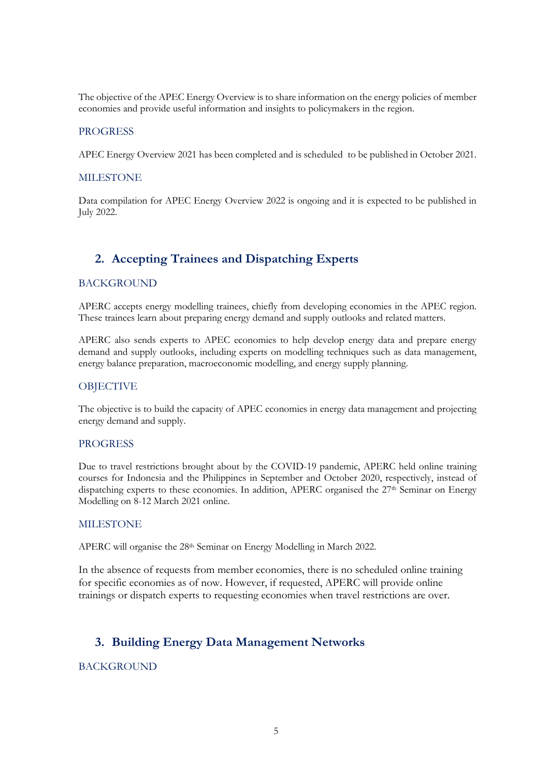The objective of the APEC Energy Overview is to share information on the energy policies of member economies and provide useful information and insights to policymakers in the region.

#### PROGRESS

APEC Energy Overview 2021 has been completed and is scheduled to be published in October 2021.

#### **MILESTONE**

Data compilation for APEC Energy Overview 2022 is ongoing and it is expected to be published in July 2022.

# **2. Accepting Trainees and Dispatching Experts**

#### BACKGROUND

APERC accepts energy modelling trainees, chiefly from developing economies in the APEC region. These trainees learn about preparing energy demand and supply outlooks and related matters.

APERC also sends experts to APEC economies to help develop energy data and prepare energy demand and supply outlooks, including experts on modelling techniques such as data management, energy balance preparation, macroeconomic modelling, and energy supply planning.

#### **OBJECTIVE**

The objective is to build the capacity of APEC economies in energy data management and projecting energy demand and supply.

#### **PROGRESS**

Due to travel restrictions brought about by the COVID-19 pandemic, APERC held online training courses for Indonesia and the Philippines in September and October 2020, respectively, instead of dispatching experts to these economies. In addition, APERC organised the 27<sup>th</sup> Seminar on Energy Modelling on 8-12 March 2021 online.

#### **MILESTONE**

APERC will organise the 28th Seminar on Energy Modelling in March 2022.

In the absence of requests from member economies, there is no scheduled online training for specific economies as of now. However, if requested, APERC will provide online trainings or dispatch experts to requesting economies when travel restrictions are over.

### **3. Building Energy Data Management Networks**

#### **BACKGROUND**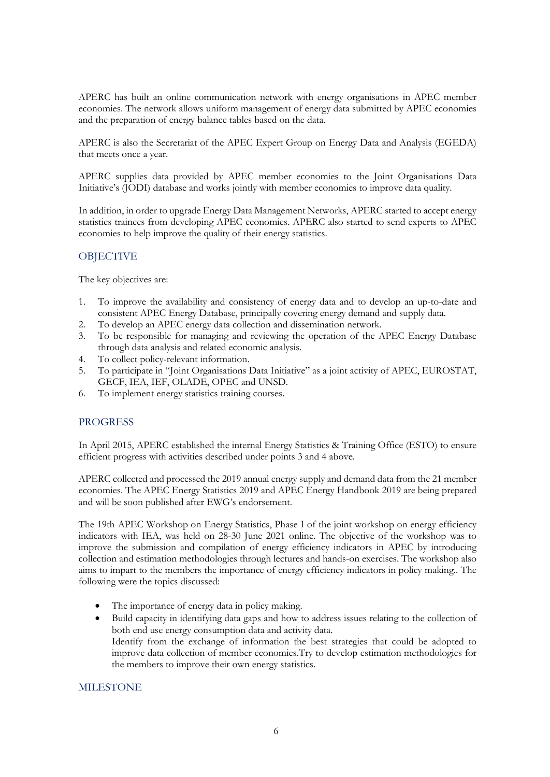APERC has built an online communication network with energy organisations in APEC member economies. The network allows uniform management of energy data submitted by APEC economies and the preparation of energy balance tables based on the data.

APERC is also the Secretariat of the APEC Expert Group on Energy Data and Analysis (EGEDA) that meets once a year.

APERC supplies data provided by APEC member economies to the Joint Organisations Data Initiative's (JODI) database and works jointly with member economies to improve data quality.

In addition, in order to upgrade Energy Data Management Networks, APERC started to accept energy statistics trainees from developing APEC economies. APERC also started to send experts to APEC economies to help improve the quality of their energy statistics.

#### **OBJECTIVE**

The key objectives are:

- 1. To improve the availability and consistency of energy data and to develop an up-to-date and consistent APEC Energy Database, principally covering energy demand and supply data.
- 2. To develop an APEC energy data collection and dissemination network.
- 3. To be responsible for managing and reviewing the operation of the APEC Energy Database through data analysis and related economic analysis.
- 4. To collect policy-relevant information.
- 5. To participate in "Joint Organisations Data Initiative" as a joint activity of APEC, EUROSTAT, GECF, IEA, IEF, OLADE, OPEC and UNSD.
- 6. To implement energy statistics training courses.

#### PROGRESS

In April 2015, APERC established the internal Energy Statistics & Training Office (ESTO) to ensure efficient progress with activities described under points 3 and 4 above.

APERC collected and processed the 2019 annual energy supply and demand data from the 21 member economies. The APEC Energy Statistics 2019 and APEC Energy Handbook 2019 are being prepared and will be soon published after EWG's endorsement.

The 19th APEC Workshop on Energy Statistics, Phase I of the joint workshop on energy efficiency indicators with IEA, was held on 28-30 June 2021 online. The objective of the workshop was to improve the submission and compilation of energy efficiency indicators in APEC by introducing collection and estimation methodologies through lectures and hands-on exercises. The workshop also aims to impart to the members the importance of energy efficiency indicators in policy making.. The following were the topics discussed:

- The importance of energy data in policy making.
- Build capacity in identifying data gaps and how to address issues relating to the collection of both end use energy consumption data and activity data. Identify from the exchange of information the best strategies that could be adopted to improve data collection of member economies.Try to develop estimation methodologies for the members to improve their own energy statistics.

#### MILESTONE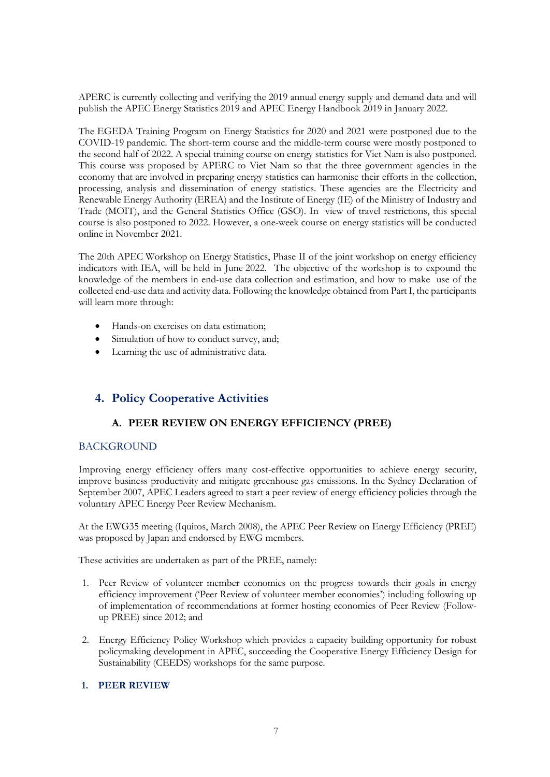APERC is currently collecting and verifying the 2019 annual energy supply and demand data and will publish the APEC Energy Statistics 2019 and APEC Energy Handbook 2019 in January 2022.

The EGEDA Training Program on Energy Statistics for 2020 and 2021 were postponed due to the COVID-19 pandemic. The short-term course and the middle-term course were mostly postponed to the second half of 2022. A special training course on energy statistics for Viet Nam is also postponed. This course was proposed by APERC to Viet Nam so that the three government agencies in the economy that are involved in preparing energy statistics can harmonise their efforts in the collection, processing, analysis and dissemination of energy statistics. These agencies are the Electricity and Renewable Energy Authority (EREA) and the Institute of Energy (IE) of the Ministry of Industry and Trade (MOIT), and the General Statistics Office (GSO). In view of travel restrictions, this special course is also postponed to 2022. However, a one-week course on energy statistics will be conducted online in November 2021.

The 20th APEC Workshop on Energy Statistics, Phase II of the joint workshop on energy efficiency indicators with IEA, will be held in June 2022. The objective of the workshop is to expound the knowledge of the members in end-use data collection and estimation, and how to make use of the collected end-use data and activity data. Following the knowledge obtained from Part I, the participants will learn more through:

- Hands-on exercises on data estimation;
- Simulation of how to conduct survey, and:
- Learning the use of administrative data.

# **4. Policy Cooperative Activities**

#### **A. PEER REVIEW ON ENERGY EFFICIENCY (PREE)**

#### BACKGROUND

Improving energy efficiency offers many cost-effective opportunities to achieve energy security, improve business productivity and mitigate greenhouse gas emissions. In the Sydney Declaration of September 2007, APEC Leaders agreed to start a peer review of energy efficiency policies through the voluntary APEC Energy Peer Review Mechanism.

At the EWG35 meeting (Iquitos, March 2008), the APEC Peer Review on Energy Efficiency (PREE) was proposed by Japan and endorsed by EWG members.

These activities are undertaken as part of the PREE, namely:

- 1. Peer Review of volunteer member economies on the progress towards their goals in energy efficiency improvement ('Peer Review of volunteer member economies') including following up of implementation of recommendations at former hosting economies of Peer Review (Followup PREE) since 2012; and
- 2. Energy Efficiency Policy Workshop which provides a capacity building opportunity for robust policymaking development in APEC, succeeding the Cooperative Energy Efficiency Design for Sustainability (CEEDS) workshops for the same purpose.

#### **1. PEER REVIEW**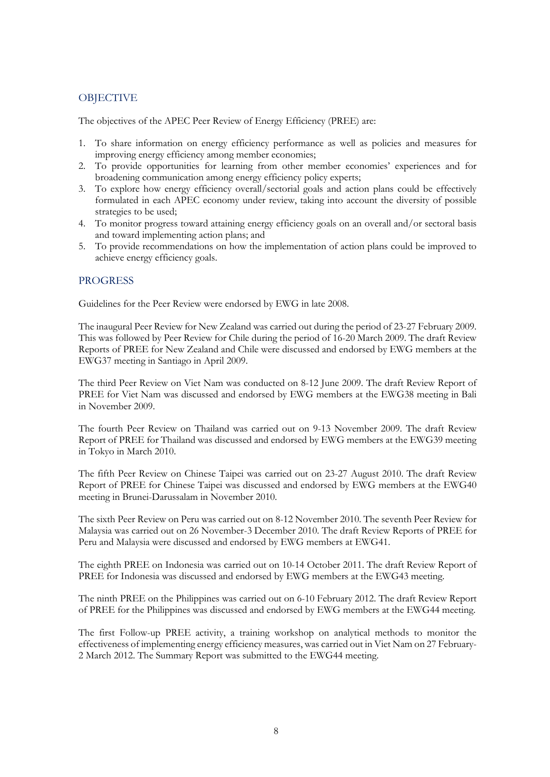#### **OBJECTIVE**

The objectives of the APEC Peer Review of Energy Efficiency (PREE) are:

- 1. To share information on energy efficiency performance as well as policies and measures for improving energy efficiency among member economies;
- 2. To provide opportunities for learning from other member economies' experiences and for broadening communication among energy efficiency policy experts;
- 3. To explore how energy efficiency overall/sectorial goals and action plans could be effectively formulated in each APEC economy under review, taking into account the diversity of possible strategies to be used;
- 4. To monitor progress toward attaining energy efficiency goals on an overall and/or sectoral basis and toward implementing action plans; and
- 5. To provide recommendations on how the implementation of action plans could be improved to achieve energy efficiency goals.

#### **PROGRESS**

Guidelines for the Peer Review were endorsed by EWG in late 2008.

The inaugural Peer Review for New Zealand was carried out during the period of 23-27 February 2009. This was followed by Peer Review for Chile during the period of 16-20 March 2009. The draft Review Reports of PREE for New Zealand and Chile were discussed and endorsed by EWG members at the EWG37 meeting in Santiago in April 2009.

The third Peer Review on Viet Nam was conducted on 8-12 June 2009. The draft Review Report of PREE for Viet Nam was discussed and endorsed by EWG members at the EWG38 meeting in Bali in November 2009.

The fourth Peer Review on Thailand was carried out on 9-13 November 2009. The draft Review Report of PREE for Thailand was discussed and endorsed by EWG members at the EWG39 meeting in Tokyo in March 2010.

The fifth Peer Review on Chinese Taipei was carried out on 23-27 August 2010. The draft Review Report of PREE for Chinese Taipei was discussed and endorsed by EWG members at the EWG40 meeting in Brunei-Darussalam in November 2010.

The sixth Peer Review on Peru was carried out on 8-12 November 2010. The seventh Peer Review for Malaysia was carried out on 26 November-3 December 2010. The draft Review Reports of PREE for Peru and Malaysia were discussed and endorsed by EWG members at EWG41.

The eighth PREE on Indonesia was carried out on 10-14 October 2011. The draft Review Report of PREE for Indonesia was discussed and endorsed by EWG members at the EWG43 meeting.

The ninth PREE on the Philippines was carried out on 6-10 February 2012. The draft Review Report of PREE for the Philippines was discussed and endorsed by EWG members at the EWG44 meeting.

The first Follow-up PREE activity, a training workshop on analytical methods to monitor the effectiveness of implementing energy efficiency measures, was carried out in Viet Nam on 27 February-2 March 2012. The Summary Report was submitted to the EWG44 meeting.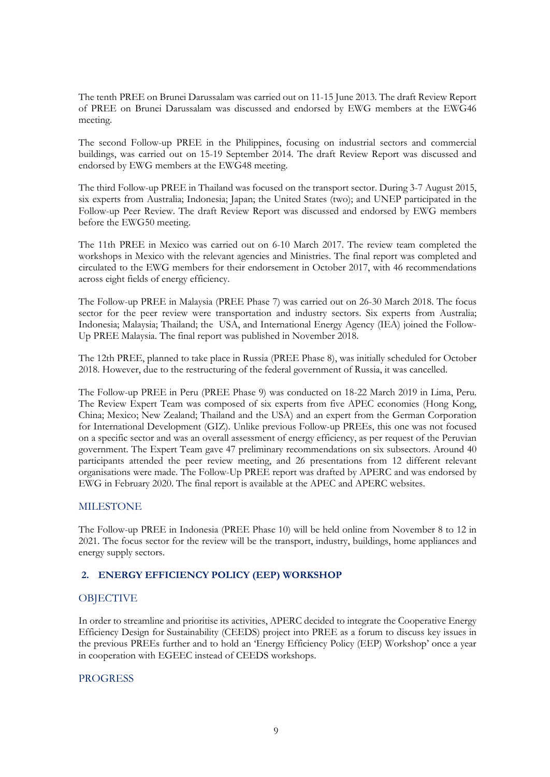The tenth PREE on Brunei Darussalam was carried out on 11-15 June 2013. The draft Review Report of PREE on Brunei Darussalam was discussed and endorsed by EWG members at the EWG46 meeting.

The second Follow-up PREE in the Philippines, focusing on industrial sectors and commercial buildings, was carried out on 15-19 September 2014. The draft Review Report was discussed and endorsed by EWG members at the EWG48 meeting.

The third Follow-up PREE in Thailand was focused on the transport sector. During 3-7 August 2015, six experts from Australia; Indonesia; Japan; the United States (two); and UNEP participated in the Follow-up Peer Review. The draft Review Report was discussed and endorsed by EWG members before the EWG50 meeting.

The 11th PREE in Mexico was carried out on 6-10 March 2017. The review team completed the workshops in Mexico with the relevant agencies and Ministries. The final report was completed and circulated to the EWG members for their endorsement in October 2017, with 46 recommendations across eight fields of energy efficiency.

The Follow-up PREE in Malaysia (PREE Phase 7) was carried out on 26-30 March 2018. The focus sector for the peer review were transportation and industry sectors. Six experts from Australia; Indonesia; Malaysia; Thailand; the USA, and International Energy Agency (IEA) joined the Follow-Up PREE Malaysia. The final report was published in November 2018.

The 12th PREE, planned to take place in Russia (PREE Phase 8), was initially scheduled for October 2018. However, due to the restructuring of the federal government of Russia, it was cancelled.

The Follow-up PREE in Peru (PREE Phase 9) was conducted on 18-22 March 2019 in Lima, Peru. The Review Expert Team was composed of six experts from five APEC economies (Hong Kong, China; Mexico; New Zealand; Thailand and the USA) and an expert from the German Corporation for International Development (GIZ). Unlike previous Follow-up PREEs, this one was not focused on a specific sector and was an overall assessment of energy efficiency, as per request of the Peruvian government. The Expert Team gave 47 preliminary recommendations on six subsectors. Around 40 participants attended the peer review meeting, and 26 presentations from 12 different relevant organisations were made. The Follow-Up PREE report was drafted by APERC and was endorsed by EWG in February 2020. The final report is available at the APEC and APERC websites.

#### MILESTONE

The Follow-up PREE in Indonesia (PREE Phase 10) will be held online from November 8 to 12 in 2021. The focus sector for the review will be the transport, industry, buildings, home appliances and energy supply sectors.

#### **2. ENERGY EFFICIENCY POLICY (EEP) WORKSHOP**

#### **OBJECTIVE**

In order to streamline and prioritise its activities, APERC decided to integrate the Cooperative Energy Efficiency Design for Sustainability (CEEDS) project into PREE as a forum to discuss key issues in the previous PREEs further and to hold an 'Energy Efficiency Policy (EEP) Workshop' once a year in cooperation with EGEEC instead of CEEDS workshops.

#### PROGRESS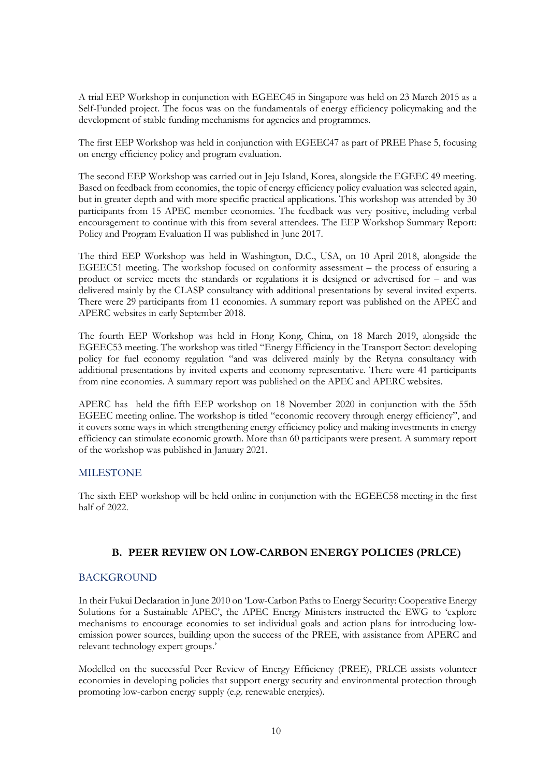A trial EEP Workshop in conjunction with EGEEC45 in Singapore was held on 23 March 2015 as a Self-Funded project. The focus was on the fundamentals of energy efficiency policymaking and the development of stable funding mechanisms for agencies and programmes.

The first EEP Workshop was held in conjunction with EGEEC47 as part of PREE Phase 5, focusing on energy efficiency policy and program evaluation.

The second EEP Workshop was carried out in Jeju Island, Korea, alongside the EGEEC 49 meeting. Based on feedback from economies, the topic of energy efficiency policy evaluation was selected again, but in greater depth and with more specific practical applications. This workshop was attended by 30 participants from 15 APEC member economies. The feedback was very positive, including verbal encouragement to continue with this from several attendees. The EEP Workshop Summary Report: Policy and Program Evaluation II was published in June 2017.

The third EEP Workshop was held in Washington, D.C., USA, on 10 April 2018, alongside the EGEEC51 meeting. The workshop focused on conformity assessment – the process of ensuring a product or service meets the standards or regulations it is designed or advertised for – and was delivered mainly by the CLASP consultancy with additional presentations by several invited experts. There were 29 participants from 11 economies. A summary report was published on the APEC and APERC websites in early September 2018.

The fourth EEP Workshop was held in Hong Kong, China, on 18 March 2019, alongside the EGEEC53 meeting. The workshop was titled "Energy Efficiency in the Transport Sector: developing policy for fuel economy regulation "and was delivered mainly by the Retyna consultancy with additional presentations by invited experts and economy representative. There were 41 participants from nine economies. A summary report was published on the APEC and APERC websites.

APERC has held the fifth EEP workshop on 18 November 2020 in conjunction with the 55th EGEEC meeting online. The workshop is titled "economic recovery through energy efficiency", and it covers some ways in which strengthening energy efficiency policy and making investments in energy efficiency can stimulate economic growth. More than 60 participants were present. A summary report of the workshop was published in January 2021.

#### **MILESTONE**

The sixth EEP workshop will be held online in conjunction with the EGEEC58 meeting in the first half of 2022.

#### **B. PEER REVIEW ON LOW-CARBON ENERGY POLICIES (PRLCE)**

#### BACKGROUND

In their Fukui Declaration in June 2010 on 'Low-Carbon Paths to Energy Security: Cooperative Energy Solutions for a Sustainable APEC', the APEC Energy Ministers instructed the EWG to 'explore mechanisms to encourage economies to set individual goals and action plans for introducing lowemission power sources, building upon the success of the PREE, with assistance from APERC and relevant technology expert groups.'

Modelled on the successful Peer Review of Energy Efficiency (PREE), PRLCE assists volunteer economies in developing policies that support energy security and environmental protection through promoting low-carbon energy supply (e.g. renewable energies).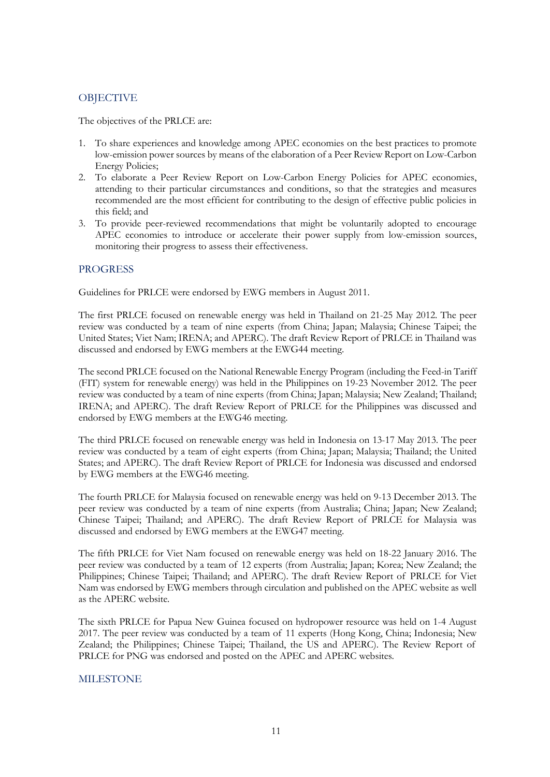#### **OBJECTIVE**

The objectives of the PRLCE are:

- 1. To share experiences and knowledge among APEC economies on the best practices to promote low-emission power sources by means of the elaboration of a Peer Review Report on Low-Carbon Energy Policies;
- 2. To elaborate a Peer Review Report on Low-Carbon Energy Policies for APEC economies, attending to their particular circumstances and conditions, so that the strategies and measures recommended are the most efficient for contributing to the design of effective public policies in this field; and
- 3. To provide peer-reviewed recommendations that might be voluntarily adopted to encourage APEC economies to introduce or accelerate their power supply from low-emission sources, monitoring their progress to assess their effectiveness.

#### **PROGRESS**

Guidelines for PRLCE were endorsed by EWG members in August 2011.

The first PRLCE focused on renewable energy was held in Thailand on 21-25 May 2012. The peer review was conducted by a team of nine experts (from China; Japan; Malaysia; Chinese Taipei; the United States; Viet Nam; IRENA; and APERC). The draft Review Report of PRLCE in Thailand was discussed and endorsed by EWG members at the EWG44 meeting.

The second PRLCE focused on the National Renewable Energy Program (including the Feed-in Tariff (FIT) system for renewable energy) was held in the Philippines on 19-23 November 2012. The peer review was conducted by a team of nine experts (from China; Japan; Malaysia; New Zealand; Thailand; IRENA; and APERC). The draft Review Report of PRLCE for the Philippines was discussed and endorsed by EWG members at the EWG46 meeting.

The third PRLCE focused on renewable energy was held in Indonesia on 13-17 May 2013. The peer review was conducted by a team of eight experts (from China; Japan; Malaysia; Thailand; the United States; and APERC). The draft Review Report of PRLCE for Indonesia was discussed and endorsed by EWG members at the EWG46 meeting.

The fourth PRLCE for Malaysia focused on renewable energy was held on 9-13 December 2013. The peer review was conducted by a team of nine experts (from Australia; China; Japan; New Zealand; Chinese Taipei; Thailand; and APERC). The draft Review Report of PRLCE for Malaysia was discussed and endorsed by EWG members at the EWG47 meeting.

The fifth PRLCE for Viet Nam focused on renewable energy was held on 18-22 January 2016. The peer review was conducted by a team of 12 experts (from Australia; Japan; Korea; New Zealand; the Philippines; Chinese Taipei; Thailand; and APERC). The draft Review Report of PRLCE for Viet Nam was endorsed by EWG members through circulation and published on the APEC website as well as the APERC website.

The sixth PRLCE for Papua New Guinea focused on hydropower resource was held on 1-4 August 2017. The peer review was conducted by a team of 11 experts (Hong Kong, China; Indonesia; New Zealand; the Philippines; Chinese Taipei; Thailand, the US and APERC). The Review Report of PRLCE for PNG was endorsed and posted on the APEC and APERC websites.

#### MILESTONE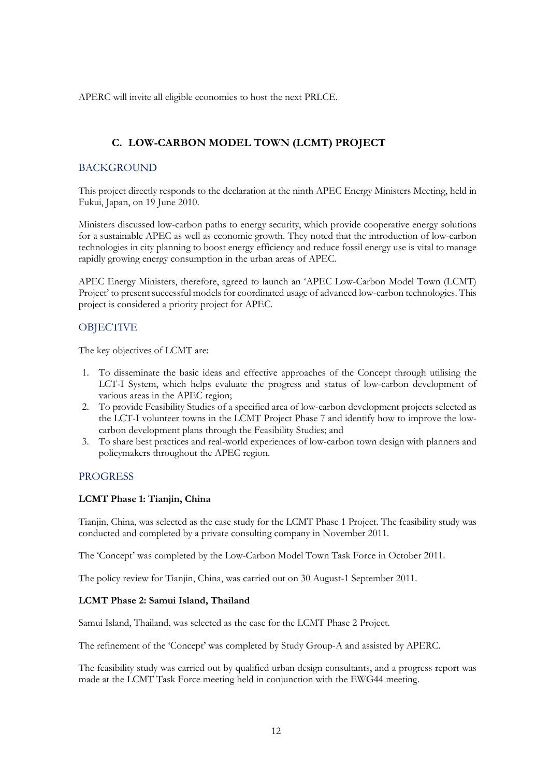APERC will invite all eligible economies to host the next PRLCE.

### **C. LOW-CARBON MODEL TOWN (LCMT) PROJECT**

#### **BACKGROUND**

This project directly responds to the declaration at the ninth APEC Energy Ministers Meeting, held in Fukui, Japan, on 19 June 2010.

Ministers discussed low-carbon paths to energy security, which provide cooperative energy solutions for a sustainable APEC as well as economic growth. They noted that the introduction of low-carbon technologies in city planning to boost energy efficiency and reduce fossil energy use is vital to manage rapidly growing energy consumption in the urban areas of APEC.

APEC Energy Ministers, therefore, agreed to launch an 'APEC Low-Carbon Model Town (LCMT) Project' to present successful models for coordinated usage of advanced low-carbon technologies. This project is considered a priority project for APEC.

#### **OBJECTIVE**

The key objectives of LCMT are:

- 1. To disseminate the basic ideas and effective approaches of the Concept through utilising the LCT-I System, which helps evaluate the progress and status of low-carbon development of various areas in the APEC region;
- 2. To provide Feasibility Studies of a specified area of low-carbon development projects selected as the LCT-I volunteer towns in the LCMT Project Phase 7 and identify how to improve the lowcarbon development plans through the Feasibility Studies; and
- 3. To share best practices and real-world experiences of low-carbon town design with planners and policymakers throughout the APEC region.

#### **PROGRESS**

#### **LCMT Phase 1: Tianjin, China**

Tianjin, China, was selected as the case study for the LCMT Phase 1 Project. The feasibility study was conducted and completed by a private consulting company in November 2011.

The 'Concept' was completed by the Low-Carbon Model Town Task Force in October 2011.

The policy review for Tianjin, China, was carried out on 30 August-1 September 2011.

#### **LCMT Phase 2: Samui Island, Thailand**

Samui Island, Thailand, was selected as the case for the LCMT Phase 2 Project.

The refinement of the 'Concept' was completed by Study Group-A and assisted by APERC.

The feasibility study was carried out by qualified urban design consultants, and a progress report was made at the LCMT Task Force meeting held in conjunction with the EWG44 meeting.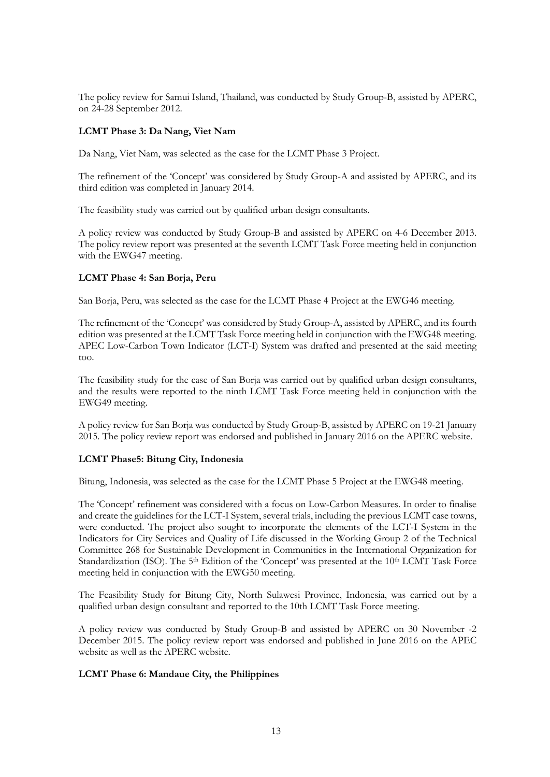The policy review for Samui Island, Thailand, was conducted by Study Group-B, assisted by APERC, on 24-28 September 2012.

#### **LCMT Phase 3: Da Nang, Viet Nam**

Da Nang, Viet Nam, was selected as the case for the LCMT Phase 3 Project.

The refinement of the 'Concept' was considered by Study Group-A and assisted by APERC, and its third edition was completed in January 2014.

The feasibility study was carried out by qualified urban design consultants.

A policy review was conducted by Study Group-B and assisted by APERC on 4-6 December 2013. The policy review report was presented at the seventh LCMT Task Force meeting held in conjunction with the EWG47 meeting.

#### **LCMT Phase 4: San Borja, Peru**

San Borja, Peru, was selected as the case for the LCMT Phase 4 Project at the EWG46 meeting.

The refinement of the 'Concept' was considered by Study Group-A, assisted by APERC, and its fourth edition was presented at the LCMT Task Force meeting held in conjunction with the EWG48 meeting. APEC Low-Carbon Town Indicator (LCT-I) System was drafted and presented at the said meeting too.

The feasibility study for the case of San Borja was carried out by qualified urban design consultants, and the results were reported to the ninth LCMT Task Force meeting held in conjunction with the EWG49 meeting.

A policy review for San Borja was conducted by Study Group-B, assisted by APERC on 19-21 January 2015. The policy review report was endorsed and published in January 2016 on the APERC website.

#### **LCMT Phase5: Bitung City, Indonesia**

Bitung, Indonesia, was selected as the case for the LCMT Phase 5 Project at the EWG48 meeting.

The 'Concept' refinement was considered with a focus on Low-Carbon Measures. In order to finalise and create the guidelines for the LCT-I System, several trials, including the previous LCMT case towns, were conducted. The project also sought to incorporate the elements of the LCT-I System in the Indicators for City Services and Quality of Life discussed in the Working Group 2 of the Technical Committee 268 for Sustainable Development in Communities in the International Organization for Standardization (ISO). The  $5<sup>th</sup>$  Edition of the 'Concept' was presented at the 10<sup>th</sup> LCMT Task Force meeting held in conjunction with the EWG50 meeting.

The Feasibility Study for Bitung City, North Sulawesi Province, Indonesia, was carried out by a qualified urban design consultant and reported to the 10th LCMT Task Force meeting.

A policy review was conducted by Study Group-B and assisted by APERC on 30 November -2 December 2015. The policy review report was endorsed and published in June 2016 on the APEC website as well as the APERC website.

#### **LCMT Phase 6: Mandaue City, the Philippines**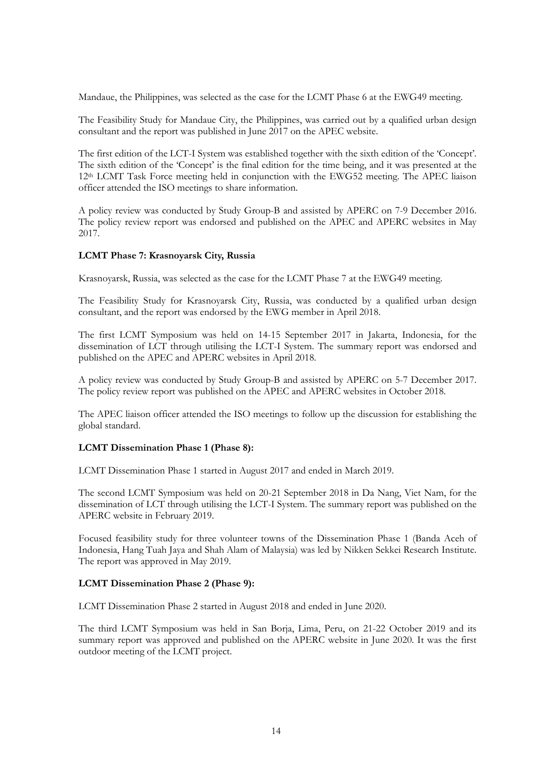Mandaue, the Philippines, was selected as the case for the LCMT Phase 6 at the EWG49 meeting.

The Feasibility Study for Mandaue City, the Philippines, was carried out by a qualified urban design consultant and the report was published in June  $2017$  on the APEC website.

The first edition of the LCT-I System was established together with the sixth edition of the 'Concept'. The sixth edition of the 'Concept' is the final edition for the time being, and it was presented at the 12th LCMT Task Force meeting held in conjunction with the EWG52 meeting. The APEC liaison officer attended the ISO meetings to share information.

A policy review was conducted by Study Group-B and assisted by APERC on 7-9 December 2016. The policy review report was endorsed and published on the APEC and APERC websites in May 2017.

#### **LCMT Phase 7: Krasnoyarsk City, Russia**

Krasnoyarsk, Russia, was selected as the case for the LCMT Phase 7 at the EWG49 meeting.

The Feasibility Study for Krasnoyarsk City, Russia, was conducted by a qualified urban design consultant, and the report was endorsed by the EWG member in April 2018.

The first LCMT Symposium was held on 14-15 September 2017 in Jakarta, Indonesia, for the dissemination of LCT through utilising the LCT-I System. The summary report was endorsed and published on the APEC and APERC websites in April 2018.

A policy review was conducted by Study Group-B and assisted by APERC on 5-7 December 2017. The policy review report was published on the APEC and APERC websites in October 2018.

The APEC liaison officer attended the ISO meetings to follow up the discussion for establishing the global standard.

#### **LCMT Dissemination Phase 1 (Phase 8):**

LCMT Dissemination Phase 1 started in August 2017 and ended in March 2019.

The second LCMT Symposium was held on 20-21 September 2018 in Da Nang, Viet Nam, for the dissemination of LCT through utilising the LCT-I System. The summary report was published on the APERC website in February 2019.

Focused feasibility study for three volunteer towns of the Dissemination Phase 1 (Banda Aceh of Indonesia, Hang Tuah Jaya and Shah Alam of Malaysia) was led by Nikken Sekkei Research Institute. The report was approved in May 2019.

#### **LCMT Dissemination Phase 2 (Phase 9):**

LCMT Dissemination Phase 2 started in August 2018 and ended in June 2020.

The third LCMT Symposium was held in San Borja, Lima, Peru, on 21-22 October 2019 and its summary report was approved and published on the APERC website in June 2020. It was the first outdoor meeting of the LCMT project.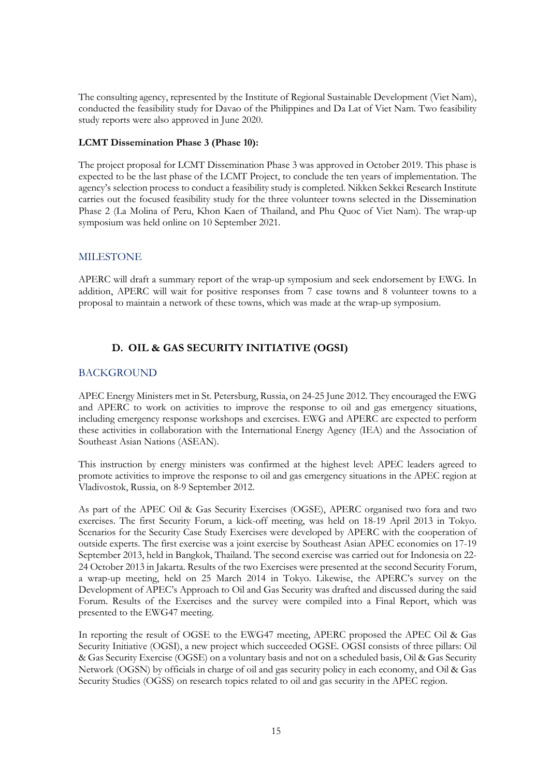The consulting agency, represented by the Institute of Regional Sustainable Development (Viet Nam), conducted the feasibility study for Davao of the Philippines and Da Lat of Viet Nam. Two feasibility study reports were also approved in June 2020.

#### **LCMT Dissemination Phase 3 (Phase 10):**

The project proposal for LCMT Dissemination Phase 3 was approved in October 2019. This phase is expected to be the last phase of the LCMT Project, to conclude the ten years of implementation. The agency's selection process to conduct a feasibility study is completed. Nikken Sekkei Research Institute carries out the focused feasibility study for the three volunteer towns selected in the Dissemination Phase 2 (La Molina of Peru, Khon Kaen of Thailand, and Phu Quoc of Viet Nam). The wrap-up symposium was held online on 10 September 2021.

#### **MILESTONE**

APERC will draft a summary report of the wrap-up symposium and seek endorsement by EWG. In addition, APERC will wait for positive responses from 7 case towns and 8 volunteer towns to a proposal to maintain a network of these towns, which was made at the wrap-up symposium.

#### **D. OIL & GAS SECURITY INITIATIVE (OGSI)**

#### BACKGROUND

APEC Energy Ministers met in St. Petersburg, Russia, on 24-25 June 2012. They encouraged the EWG and APERC to work on activities to improve the response to oil and gas emergency situations, including emergency response workshops and exercises. EWG and APERC are expected to perform these activities in collaboration with the International Energy Agency (IEA) and the Association of Southeast Asian Nations (ASEAN).

This instruction by energy ministers was confirmed at the highest level: APEC leaders agreed to promote activities to improve the response to oil and gas emergency situations in the APEC region at Vladivostok, Russia, on 8-9 September 2012.

As part of the APEC Oil & Gas Security Exercises (OGSE), APERC organised two fora and two exercises. The first Security Forum, a kick-off meeting, was held on 18-19 April 2013 in Tokyo. Scenarios for the Security Case Study Exercises were developed by APERC with the cooperation of outside experts. The first exercise was a joint exercise by Southeast Asian APEC economies on 17-19 September 2013, held in Bangkok, Thailand. The second exercise was carried out for Indonesia on 22- 24 October 2013 in Jakarta. Results of the two Exercises were presented at the second Security Forum, a wrap-up meeting, held on 25 March 2014 in Tokyo. Likewise, the APERC's survey on the Development of APEC's Approach to Oil and Gas Security was drafted and discussed during the said Forum. Results of the Exercises and the survey were compiled into a Final Report, which was presented to the EWG47 meeting.

In reporting the result of OGSE to the EWG47 meeting, APERC proposed the APEC Oil & Gas Security Initiative (OGSI), a new project which succeeded OGSE. OGSI consists of three pillars: Oil & Gas Security Exercise (OGSE) on a voluntary basis and not on a scheduled basis, Oil & Gas Security Network (OGSN) by officials in charge of oil and gas security policy in each economy, and Oil & Gas Security Studies (OGSS) on research topics related to oil and gas security in the APEC region.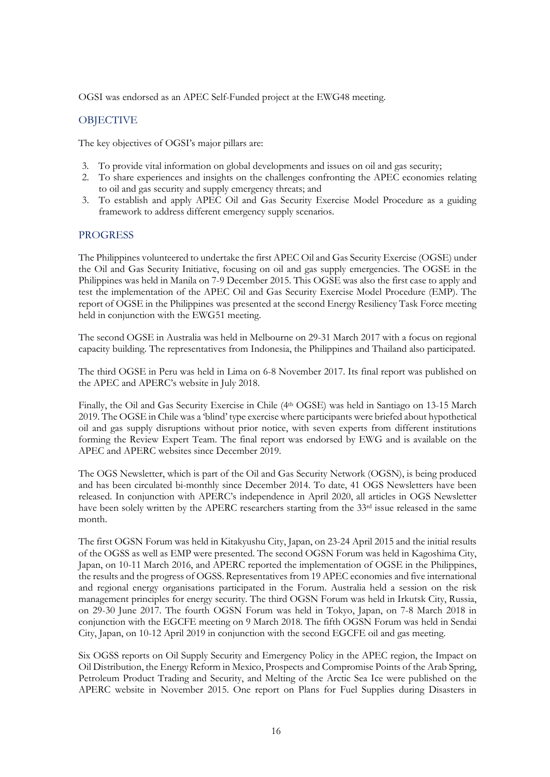OGSI was endorsed as an APEC Self-Funded project at the EWG48 meeting.

#### **OBJECTIVE**

The key objectives of OGSI's major pillars are:

- 3. To provide vital information on global developments and issues on oil and gas security;
- 2. To share experiences and insights on the challenges confronting the APEC economies relating to oil and gas security and supply emergency threats; and
- 3. To establish and apply APEC Oil and Gas Security Exercise Model Procedure as a guiding framework to address different emergency supply scenarios.

#### PROGRESS

The Philippines volunteered to undertake the first APEC Oil and Gas Security Exercise (OGSE) under the Oil and Gas Security Initiative, focusing on oil and gas supply emergencies. The OGSE in the Philippines was held in Manila on 7-9 December 2015. This OGSE was also the first case to apply and test the implementation of the APEC Oil and Gas Security Exercise Model Procedure (EMP). The report of OGSE in the Philippines was presented at the second Energy Resiliency Task Force meeting held in conjunction with the EWG51 meeting.

The second OGSE in Australia was held in Melbourne on 29-31 March 2017 with a focus on regional capacity building. The representatives from Indonesia, the Philippines and Thailand also participated.

The third OGSE in Peru was held in Lima on 6-8 November 2017. Its final report was published on the APEC and APERC's website in July 2018.

Finally, the Oil and Gas Security Exercise in Chile (4th OGSE) was held in Santiago on 13-15 March 2019. The OGSE in Chile was a 'blind' type exercise where participants were briefed about hypothetical oil and gas supply disruptions without prior notice, with seven experts from different institutions forming the Review Expert Team. The final report was endorsed by EWG and is available on the APEC and APERC websites since December 2019.

The OGS Newsletter, which is part of the Oil and Gas Security Network (OGSN), is being produced and has been circulated bi-monthly since December 2014. To date, 41 OGS Newsletters have been released. In conjunction with APERC's independence in April 2020, all articles in OGS Newsletter have been solely written by the APERC researchers starting from the 33<sup>rd</sup> issue released in the same month.

The first OGSN Forum was held in Kitakyushu City, Japan, on 23-24 April 2015 and the initial results of the OGSS as well as EMP were presented. The second OGSN Forum was held in Kagoshima City, Japan, on 10-11 March 2016, and APERC reported the implementation of OGSE in the Philippines, the results and the progress of OGSS. Representatives from 19 APEC economies and five international and regional energy organisations participated in the Forum. Australia held a session on the risk management principles for energy security. The third OGSN Forum was held in Irkutsk City, Russia, on 29-30 June 2017. The fourth OGSN Forum was held in Tokyo, Japan, on 7-8 March 2018 in conjunction with the EGCFE meeting on 9 March 2018. The fifth OGSN Forum was held in Sendai City, Japan, on 10-12 April 2019 in conjunction with the second EGCFE oil and gas meeting.

Six OGSS reports on Oil Supply Security and Emergency Policy in the APEC region, the Impact on Oil Distribution, the Energy Reform in Mexico, Prospects and Compromise Points of the Arab Spring, Petroleum Product Trading and Security, and Melting of the Arctic Sea Ice were published on the APERC website in November 2015. One report on Plans for Fuel Supplies during Disasters in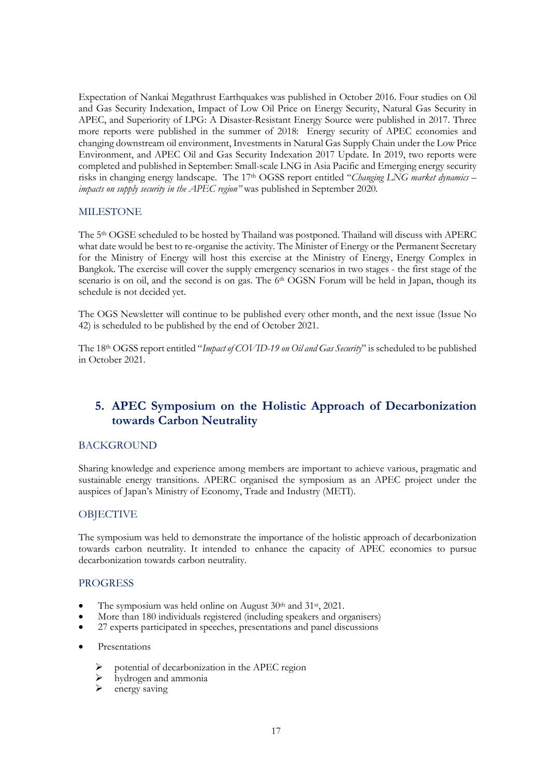Expectation of Nankai Megathrust Earthquakes was published in October 2016. Four studies on Oil and Gas Security Indexation, Impact of Low Oil Price on Energy Security, Natural Gas Security in APEC, and Superiority of LPG: A Disaster-Resistant Energy Source were published in 2017. Three more reports were published in the summer of 2018: Energy security of APEC economies and changing downstream oil environment, Investments in Natural Gas Supply Chain under the Low Price Environment, and APEC Oil and Gas Security Indexation 2017 Update. In 2019, two reports were completed and published in September: Small-scale LNG in Asia Pacific and Emerging energy security risks in changing energy landscape. The 17th OGSS report entitled "*Changing LNG market dynamics – impacts on supply security in the APEC region"* was published in September 2020*.*

#### MILESTONE

The 5th OGSE scheduled to be hosted by Thailand was postponed. Thailand will discuss with APERC what date would be best to re-organise the activity. The Minister of Energy or the Permanent Secretary for the Ministry of Energy will host this exercise at the Ministry of Energy, Energy Complex in Bangkok. The exercise will cover the supply emergency scenarios in two stages - the first stage of the scenario is on oil, and the second is on gas. The 6<sup>th</sup> OGSN Forum will be held in Japan, though its schedule is not decided yet.

The OGS Newsletter will continue to be published every other month, and the next issue (Issue No 42) is scheduled to be published by the end of October 2021.

The 18th OGSS report entitled "*Impact of COVID-19 on Oil and Gas Security*" is scheduled to be published in October 2021.

# **5. APEC Symposium on the Holistic Approach of Decarbonization towards Carbon Neutrality**

#### BACKGROUND

Sharing knowledge and experience among members are important to achieve various, pragmatic and sustainable energy transitions. APERC organised the symposium as an APEC project under the auspices of Japan's Ministry of Economy, Trade and Industry (METI).

#### **OBJECTIVE**

The symposium was held to demonstrate the importance of the holistic approach of decarbonization towards carbon neutrality. It intended to enhance the capacity of APEC economies to pursue decarbonization towards carbon neutrality.

#### PROGRESS

- The symposium was held online on August 30<sup>th</sup> and 31<sup>st</sup>, 2021.
- More than 180 individuals registered (including speakers and organisers)
- 27 experts participated in speeches, presentations and panel discussions
- **Presentations** 
	- potential of decarbonization in the APEC region
	- $\rightarrow$  hydrogen and ammonia
	- energy saving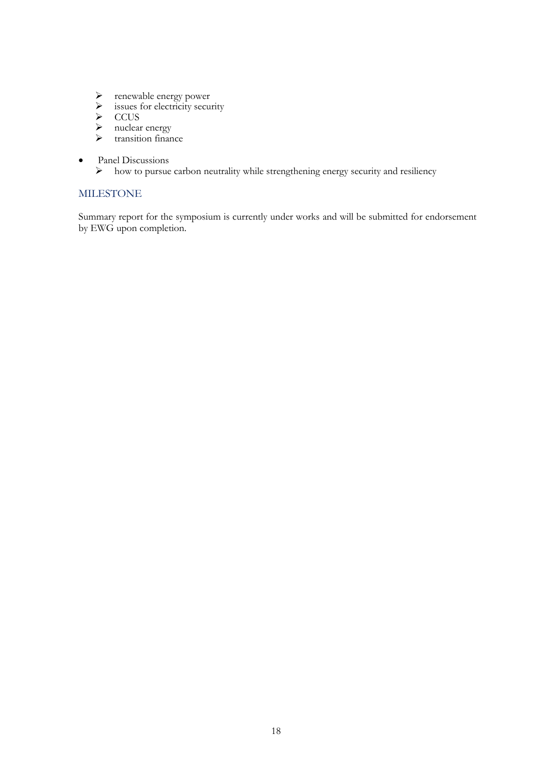- renewable energy power
- $\triangleright$  issues for electricity security
- $\triangleright$  CCUS
- > nuclear energy
- > transition finance
- Panel Discussions<br>  $\triangleright$  how to pursue
	- how to pursue carbon neutrality while strengthening energy security and resiliency

#### MILESTONE

Summary report for the symposium is currently under works and will be submitted for endorsement by EWG upon completion.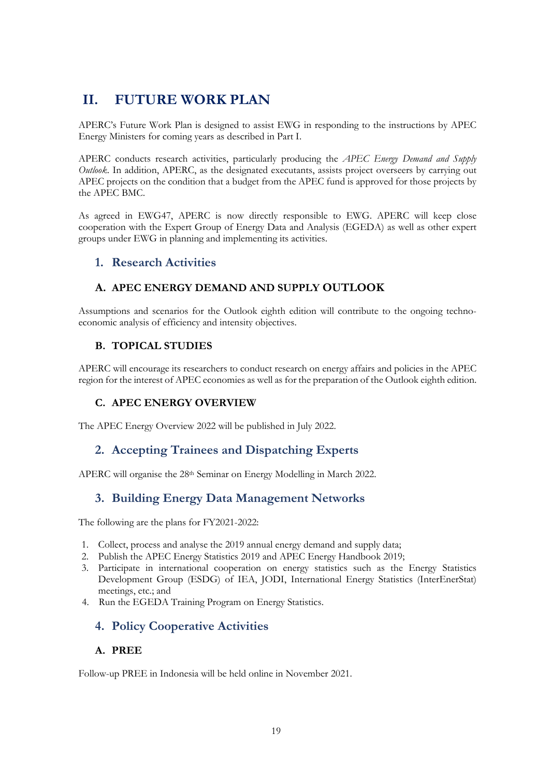# **II. FUTURE WORK PLAN**

APERC's Future Work Plan is designed to assist EWG in responding to the instructions by APEC Energy Ministers for coming years as described in Part I.

APERC conducts research activities, particularly producing the *APEC Energy Demand and Supply Outlook*. In addition, APERC, as the designated executants, assists project overseers by carrying out APEC projects on the condition that a budget from the APEC fund is approved for those projects by the APEC BMC.

As agreed in EWG47, APERC is now directly responsible to EWG. APERC will keep close cooperation with the Expert Group of Energy Data and Analysis (EGEDA) as well as other expert groups under EWG in planning and implementing its activities.

# **1. Research Activities**

### **A. APEC ENERGY DEMAND AND SUPPLY OUTLOOK**

Assumptions and scenarios for the Outlook eighth edition will contribute to the ongoing technoeconomic analysis of efficiency and intensity objectives.

#### **B. TOPICAL STUDIES**

APERC will encourage its researchers to conduct research on energy affairs and policies in the APEC region for the interest of APEC economies as well as for the preparation of the Outlook eighth edition.

#### **C. APEC ENERGY OVERVIEW**

The APEC Energy Overview 2022 will be published in July 2022.

# **2. Accepting Trainees and Dispatching Experts**

APERC will organise the 28th Seminar on Energy Modelling in March 2022.

# **3. Building Energy Data Management Networks**

The following are the plans for FY2021-2022:

- 1. Collect, process and analyse the 2019 annual energy demand and supply data;
- 2. Publish the APEC Energy Statistics 2019 and APEC Energy Handbook 2019;
- 3. Participate in international cooperation on energy statistics such as the Energy Statistics Development Group (ESDG) of IEA, JODI, International Energy Statistics (InterEnerStat) meetings, etc.; and
- 4. Run the EGEDA Training Program on Energy Statistics.

# **4. Policy Cooperative Activities**

#### **A. PREE**

Follow-up PREE in Indonesia will be held online in November 2021.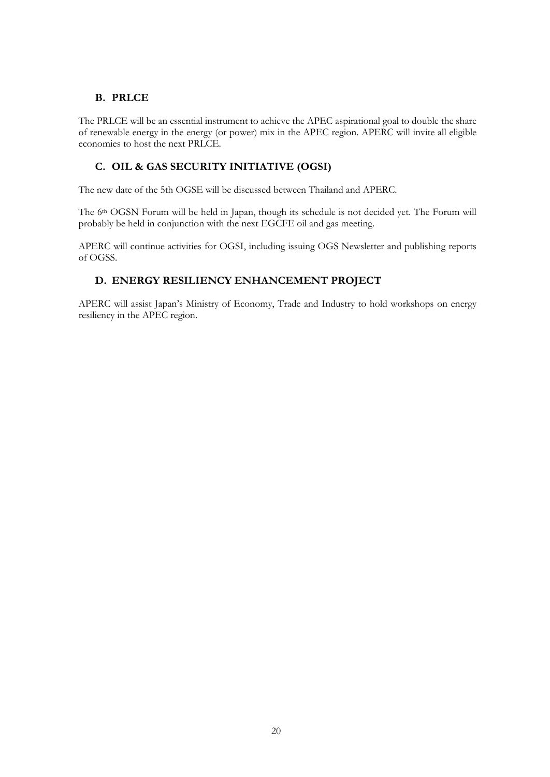#### **B. PRLCE**

The PRLCE will be an essential instrument to achieve the APEC aspirational goal to double the share of renewable energy in the energy (or power) mix in the APEC region. APERC will invite all eligible economies to host the next PRLCE.

#### **C. OIL & GAS SECURITY INITIATIVE (OGSI)**

The new date of the 5th OGSE will be discussed between Thailand and APERC.

The 6<sup>th</sup> OGSN Forum will be held in Japan, though its schedule is not decided yet. The Forum will probably be held in conjunction with the next EGCFE oil and gas meeting.

APERC will continue activities for OGSI, including issuing OGS Newsletter and publishing reports of OGSS.

#### **D. ENERGY RESILIENCY ENHANCEMENT PROJECT**

APERC will assist Japan's Ministry of Economy, Trade and Industry to hold workshops on energy resiliency in the APEC region.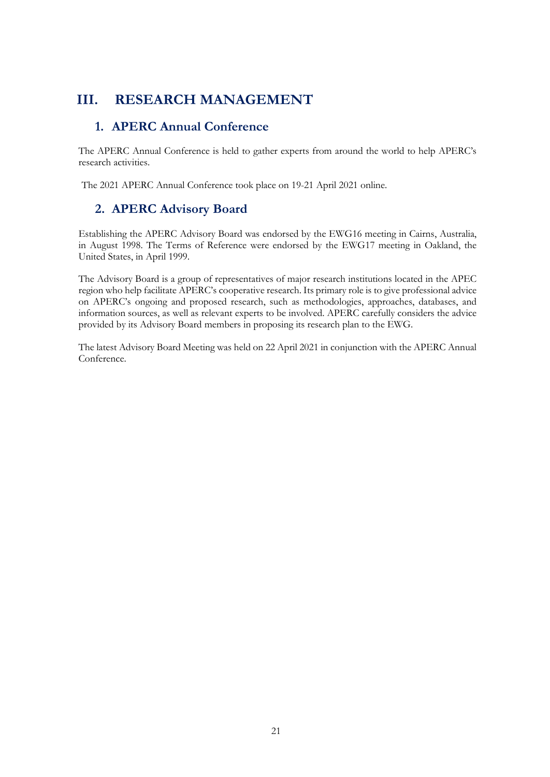# **III. RESEARCH MANAGEMENT**

# **1. APERC Annual Conference**

The APERC Annual Conference is held to gather experts from around the world to help APERC's research activities.

The 2021 APERC Annual Conference took place on 19-21 April 2021 online.

# **2. APERC Advisory Board**

Establishing the APERC Advisory Board was endorsed by the EWG16 meeting in Cairns, Australia, in August 1998. The Terms of Reference were endorsed by the EWG17 meeting in Oakland, the United States, in April 1999.

The Advisory Board is a group of representatives of major research institutions located in the APEC region who help facilitate APERC's cooperative research. Its primary role is to give professional advice on APERC's ongoing and proposed research, such as methodologies, approaches, databases, and information sources, as well as relevant experts to be involved. APERC carefully considers the advice provided by its Advisory Board members in proposing its research plan to the EWG.

The latest Advisory Board Meeting was held on 22 April 2021 in conjunction with the APERC Annual Conference.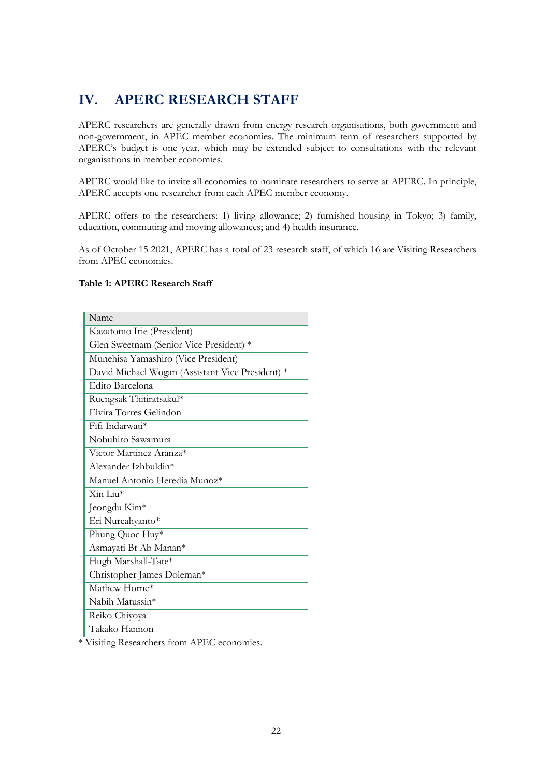# **IV. APERC RESEARCH STAFF**

APERC researchers are generally drawn from energy research organisations, both government and non-government, in APEC member economies. The minimum term of researchers supported by APERC's budget is one year, which may be extended subject to consultations with the relevant organisations in member economies.

APERC would like to invite all economies to nominate researchers to serve at APERC. In principle, APERC accepts one researcher from each APEC member economy.

APERC offers to the researchers: 1) living allowance; 2) furnished housing in Tokyo; 3) family, education, commuting and moving allowances; and 4) health insurance.

As of October 15 2021, APERC has a total of 23 research staff, of which 16 are Visiting Researchers from APEC economies.

#### **Table 1: APERC Research Staff**

| Name                                             |  |  |  |  |  |  |
|--------------------------------------------------|--|--|--|--|--|--|
| Kazutomo Irie (President)                        |  |  |  |  |  |  |
| Glen Sweetnam (Senior Vice President) *          |  |  |  |  |  |  |
| Munehisa Yamashiro (Vice President)              |  |  |  |  |  |  |
| David Michael Wogan (Assistant Vice President) * |  |  |  |  |  |  |
| Edito Barcelona                                  |  |  |  |  |  |  |
| Ruengsak Thitiratsakul*                          |  |  |  |  |  |  |
| Elvira Torres Gelindon                           |  |  |  |  |  |  |
| Fifi Indarwati*                                  |  |  |  |  |  |  |
| Nobuhiro Sawamura                                |  |  |  |  |  |  |
| Victor Martinez Aranza*                          |  |  |  |  |  |  |
| Alexander Izhbuldin*                             |  |  |  |  |  |  |
| Manuel Antonio Heredia Munoz*                    |  |  |  |  |  |  |
| $\overline{\mathrm{Xin}}$ Liu*                   |  |  |  |  |  |  |
| Jeongdu Kim*                                     |  |  |  |  |  |  |
| Eri Nurcahyanto*                                 |  |  |  |  |  |  |
| Phung Quoc Huy*                                  |  |  |  |  |  |  |
| Asmayati Bt Ab Manan*                            |  |  |  |  |  |  |
| Hugh Marshall-Tate*                              |  |  |  |  |  |  |
| Christopher James Doleman*                       |  |  |  |  |  |  |
| Mathew Horne*                                    |  |  |  |  |  |  |
| Nabih Matussin*                                  |  |  |  |  |  |  |
| Reiko Chiyoya                                    |  |  |  |  |  |  |
| Takako Hannon                                    |  |  |  |  |  |  |

\* Visiting Researchers from APEC economies.